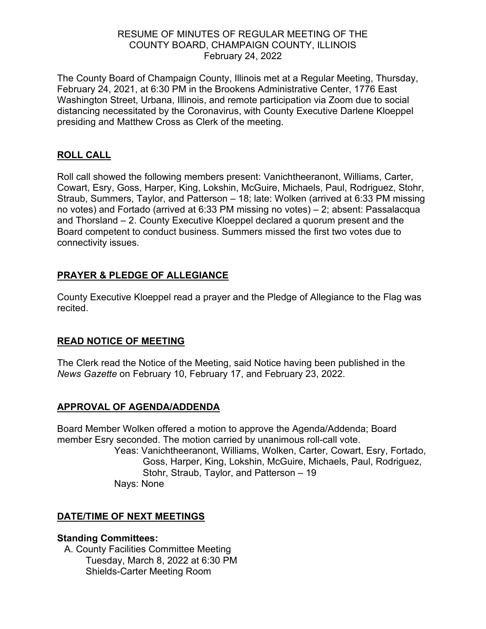### RESUME OF MINUTES OF REGULAR MEETING OF THE COUNTY BOARD, CHAMPAIGN COUNTY, ILLINOIS February 24, 2022

The County Board of Champaign County, Illinois met at a Regular Meeting, Thursday, February 24, 2021, at 6:30 PM in the Brookens Administrative Center, 1776 East Washington Street, Urbana, Illinois, and remote participation via Zoom due to social distancing necessitated by the Coronavirus, with County Executive Darlene Kloeppel presiding and Matthew Cross as Clerk of the meeting.

### **ROLL CALL**

Roll call showed the following members present: Vanichtheeranont, Williams, Carter, Cowart, Esry, Goss, Harper, King, Lokshin, McGuire, Michaels, Paul, Rodriguez, Stohr, Straub, Summers, Taylor, and Patterson – 18; late: Wolken (arrived at 6:33 PM missing no votes) and Fortado (arrived at 6:33 PM missing no votes) – 2; absent: Passalacqua and Thorsland – 2. County Executive Kloeppel declared a quorum present and the Board competent to conduct business. Summers missed the first two votes due to connectivity issues.

# **PRAYER & PLEDGE OF ALLEGIANCE**

County Executive Kloeppel read a prayer and the Pledge of Allegiance to the Flag was recited.

# **READ NOTICE OF MEETING**

The Clerk read the Notice of the Meeting, said Notice having been published in the *News Gazette* on February 10, February 17, and February 23, 2022.

# **APPROVAL OF AGENDA/ADDENDA**

Board Member Wolken offered a motion to approve the Agenda/Addenda; Board member Esry seconded. The motion carried by unanimous roll-call vote. Yeas: Vanichtheeranont, Williams, Wolken, Carter, Cowart, Esry, Fortado, Goss, Harper, King, Lokshin, McGuire, Michaels, Paul, Rodriguez, Stohr, Straub, Taylor, and Patterson – 19 Nays: None

# **DATE/TIME OF NEXT MEETINGS**

### **Standing Committees:**

A. County Facilities Committee Meeting Tuesday, March 8, 2022 at 6:30 PM Shields-Carter Meeting Room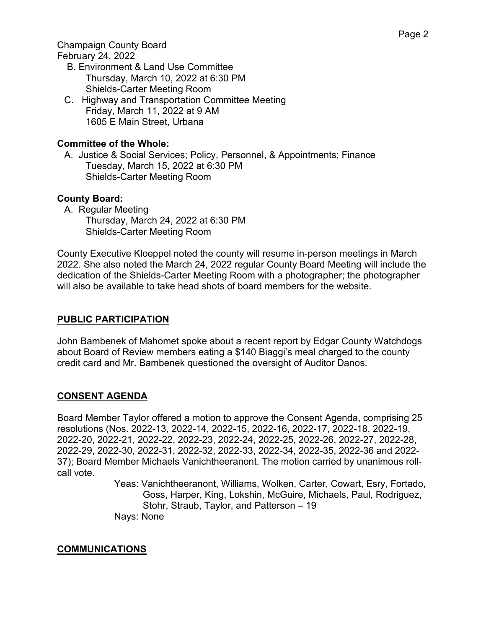Champaign County Board

February 24, 2022

- B. Environment & Land Use Committee Thursday, March 10, 2022 at 6:30 PM Shields-Carter Meeting Room
- C. Highway and Transportation Committee Meeting Friday, March 11, 2022 at 9 AM 1605 E Main Street, Urbana

# **Committee of the Whole:**

A. Justice & Social Services; Policy, Personnel, & Appointments; Finance Tuesday, March 15, 2022 at 6:30 PM Shields-Carter Meeting Room

### **County Board:**

A. Regular Meeting

Thursday, March 24, 2022 at 6:30 PM Shields-Carter Meeting Room

County Executive Kloeppel noted the county will resume in-person meetings in March 2022. She also noted the March 24, 2022 regular County Board Meeting will include the dedication of the Shields-Carter Meeting Room with a photographer; the photographer will also be available to take head shots of board members for the website.

# **PUBLIC PARTICIPATION**

John Bambenek of Mahomet spoke about a recent report by Edgar County Watchdogs about Board of Review members eating a \$140 Biaggi's meal charged to the county credit card and Mr. Bambenek questioned the oversight of Auditor Danos.

# **CONSENT AGENDA**

Board Member Taylor offered a motion to approve the Consent Agenda, comprising 25 resolutions (Nos. 2022-13, 2022-14, 2022-15, 2022-16, 2022-17, 2022-18, 2022-19, 2022-20, 2022-21, 2022-22, 2022-23, 2022-24, 2022-25, 2022-26, 2022-27, 2022-28, 2022-29, 2022-30, 2022-31, 2022-32, 2022-33, 2022-34, 2022-35, 2022-36 and 2022- 37); Board Member Michaels Vanichtheeranont. The motion carried by unanimous rollcall vote.

Yeas: Vanichtheeranont, Williams, Wolken, Carter, Cowart, Esry, Fortado, Goss, Harper, King, Lokshin, McGuire, Michaels, Paul, Rodriguez, Stohr, Straub, Taylor, and Patterson – 19 Nays: None

# **COMMUNICATIONS**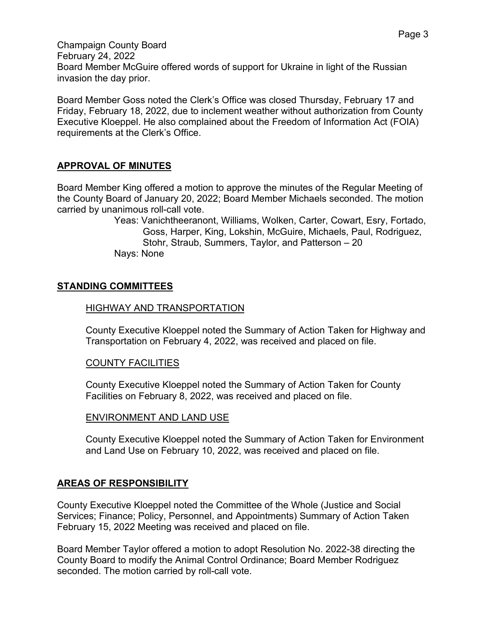Board Member Goss noted the Clerk's Office was closed Thursday, February 17 and Friday, February 18, 2022, due to inclement weather without authorization from County Executive Kloeppel. He also complained about the Freedom of Information Act (FOIA) requirements at the Clerk's Office.

# **APPROVAL OF MINUTES**

Board Member King offered a motion to approve the minutes of the Regular Meeting of the County Board of January 20, 2022; Board Member Michaels seconded. The motion carried by unanimous roll-call vote.

Yeas: Vanichtheeranont, Williams, Wolken, Carter, Cowart, Esry, Fortado, Goss, Harper, King, Lokshin, McGuire, Michaels, Paul, Rodriguez, Stohr, Straub, Summers, Taylor, and Patterson – 20 Nays: None

# **STANDING COMMITTEES**

### HIGHWAY AND TRANSPORTATION

County Executive Kloeppel noted the Summary of Action Taken for Highway and Transportation on February 4, 2022, was received and placed on file.

### COUNTY FACILITIES

County Executive Kloeppel noted the Summary of Action Taken for County Facilities on February 8, 2022, was received and placed on file.

### ENVIRONMENT AND LAND USE

County Executive Kloeppel noted the Summary of Action Taken for Environment and Land Use on February 10, 2022, was received and placed on file.

# **AREAS OF RESPONSIBILITY**

County Executive Kloeppel noted the Committee of the Whole (Justice and Social Services; Finance; Policy, Personnel, and Appointments) Summary of Action Taken February 15, 2022 Meeting was received and placed on file.

Board Member Taylor offered a motion to adopt Resolution No. 2022-38 directing the County Board to modify the Animal Control Ordinance; Board Member Rodriguez seconded. The motion carried by roll-call vote.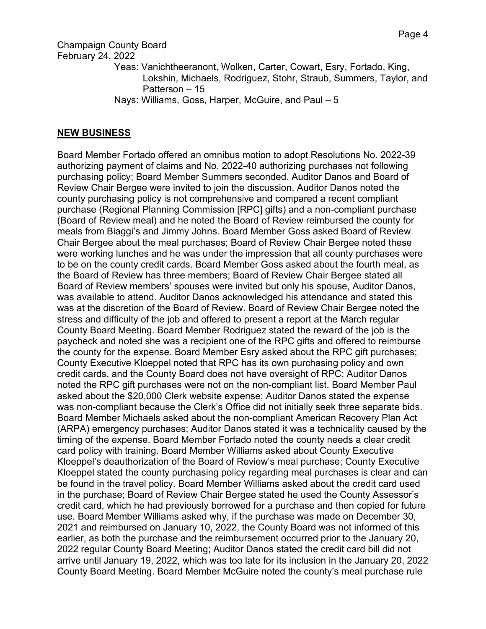Champaign County Board

February 24, 2022

- Yeas: Vanichtheeranont, Wolken, Carter, Cowart, Esry, Fortado, King, Lokshin, Michaels, Rodriguez, Stohr, Straub, Summers, Taylor, and Patterson – 15
- Nays: Williams, Goss, Harper, McGuire, and Paul 5

### **NEW BUSINESS**

Board Member Fortado offered an omnibus motion to adopt Resolutions No. 2022-39 authorizing payment of claims and No. 2022-40 authorizing purchases not following purchasing policy; Board Member Summers seconded. Auditor Danos and Board of Review Chair Bergee were invited to join the discussion. Auditor Danos noted the county purchasing policy is not comprehensive and compared a recent compliant purchase (Regional Planning Commission [RPC] gifts) and a non-compliant purchase (Board of Review meal) and he noted the Board of Review reimbursed the county for meals from Biaggi's and Jimmy Johns. Board Member Goss asked Board of Review Chair Bergee about the meal purchases; Board of Review Chair Bergee noted these were working lunches and he was under the impression that all county purchases were to be on the county credit cards. Board Member Goss asked about the fourth meal, as the Board of Review has three members; Board of Review Chair Bergee stated all Board of Review members' spouses were invited but only his spouse, Auditor Danos, was available to attend. Auditor Danos acknowledged his attendance and stated this was at the discretion of the Board of Review. Board of Review Chair Bergee noted the stress and difficulty of the job and offered to present a report at the March regular County Board Meeting. Board Member Rodriguez stated the reward of the job is the paycheck and noted she was a recipient one of the RPC gifts and offered to reimburse the county for the expense. Board Member Esry asked about the RPC gift purchases; County Executive Kloeppel noted that RPC has its own purchasing policy and own credit cards, and the County Board does not have oversight of RPC; Auditor Danos noted the RPC gift purchases were not on the non-compliant list. Board Member Paul asked about the \$20,000 Clerk website expense; Auditor Danos stated the expense was non-compliant because the Clerk's Office did not initially seek three separate bids. Board Member Michaels asked about the non-compliant American Recovery Plan Act (ARPA) emergency purchases; Auditor Danos stated it was a technicality caused by the timing of the expense. Board Member Fortado noted the county needs a clear credit card policy with training. Board Member Williams asked about County Executive Kloeppel's deauthorization of the Board of Review's meal purchase; County Executive Kloeppel stated the county purchasing policy regarding meal purchases is clear and can be found in the travel policy. Board Member Williams asked about the credit card used in the purchase; Board of Review Chair Bergee stated he used the County Assessor's credit card, which he had previously borrowed for a purchase and then copied for future use. Board Member Williams asked why, if the purchase was made on December 30, 2021 and reimbursed on January 10, 2022, the County Board was not informed of this earlier, as both the purchase and the reimbursement occurred prior to the January 20, 2022 regular County Board Meeting; Auditor Danos stated the credit card bill did not arrive until January 19, 2022, which was too late for its inclusion in the January 20, 2022 County Board Meeting. Board Member McGuire noted the county's meal purchase rule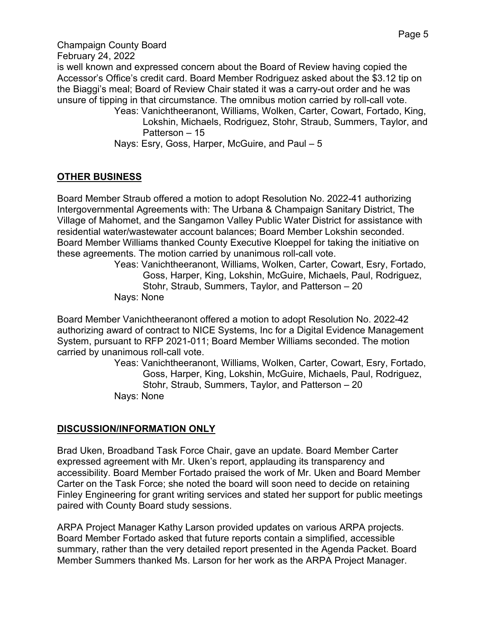Champaign County Board February 24, 2022 is well known and expressed concern about the Board of Review having copied the Accessor's Office's credit card. Board Member Rodriguez asked about the \$3.12 tip on the Biaggi's meal; Board of Review Chair stated it was a carry-out order and he was unsure of tipping in that circumstance. The omnibus motion carried by roll-call vote. Yeas: Vanichtheeranont, Williams, Wolken, Carter, Cowart, Fortado, King, Lokshin, Michaels, Rodriguez, Stohr, Straub, Summers, Taylor, and Patterson – 15 Nays: Esry, Goss, Harper, McGuire, and Paul – 5

# **OTHER BUSINESS**

Board Member Straub offered a motion to adopt Resolution No. 2022-41 authorizing Intergovernmental Agreements with: The Urbana & Champaign Sanitary District, The Village of Mahomet, and the Sangamon Valley Public Water District for assistance with residential water/wastewater account balances; Board Member Lokshin seconded. Board Member Williams thanked County Executive Kloeppel for taking the initiative on these agreements. The motion carried by unanimous roll-call vote.

Yeas: Vanichtheeranont, Williams, Wolken, Carter, Cowart, Esry, Fortado, Goss, Harper, King, Lokshin, McGuire, Michaels, Paul, Rodriguez, Stohr, Straub, Summers, Taylor, and Patterson – 20 Nays: None

Board Member Vanichtheeranont offered a motion to adopt Resolution No. 2022-42 authorizing award of contract to NICE Systems, Inc for a Digital Evidence Management System, pursuant to RFP 2021-011; Board Member Williams seconded. The motion carried by unanimous roll-call vote.

Yeas: Vanichtheeranont, Williams, Wolken, Carter, Cowart, Esry, Fortado, Goss, Harper, King, Lokshin, McGuire, Michaels, Paul, Rodriguez, Stohr, Straub, Summers, Taylor, and Patterson – 20 Nays: None

### **DISCUSSION/INFORMATION ONLY**

Brad Uken, Broadband Task Force Chair, gave an update. Board Member Carter expressed agreement with Mr. Uken's report, applauding its transparency and accessibility. Board Member Fortado praised the work of Mr. Uken and Board Member Carter on the Task Force; she noted the board will soon need to decide on retaining Finley Engineering for grant writing services and stated her support for public meetings paired with County Board study sessions.

ARPA Project Manager Kathy Larson provided updates on various ARPA projects. Board Member Fortado asked that future reports contain a simplified, accessible summary, rather than the very detailed report presented in the Agenda Packet. Board Member Summers thanked Ms. Larson for her work as the ARPA Project Manager.